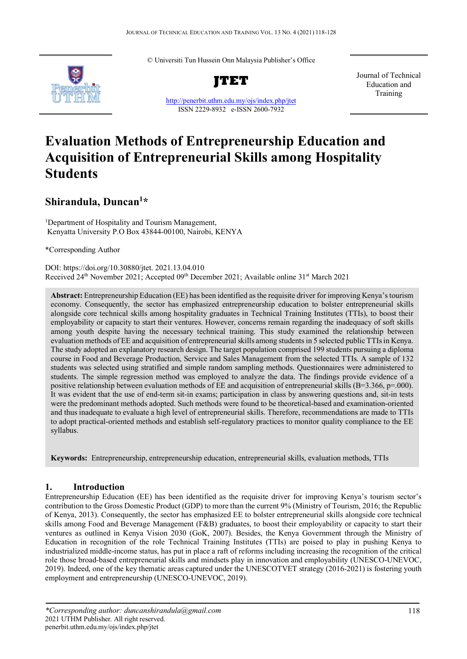© Universiti Tun Hussein Onn Malaysia Publisher's Office



**JTET**

<http://penerbit.uthm.edu.my/ojs/index.php/jtet> ISSN 2229-8932 e-ISSN 2600-7932

Journal of Technical Education and Training

# **Evaluation Methods of Entrepreneurship Education and Acquisition of Entrepreneurial Skills among Hospitality Students**

# **Shirandula, Duncan1 \***

<sup>1</sup>Department of Hospitality and Tourism Management, Kenyatta University P.O Box 43844-00100, Nairobi, KENYA

\*Corresponding Author

DOI: https://doi.org/10.30880/jtet. 2021.13.04.010 Received  $24<sup>th</sup>$  November 2021; Accepted 09<sup>th</sup> December 2021; Available online  $31<sup>st</sup>$  March 2021

**Abstract:** Entrepreneurship Education (EE) has been identified as the requisite driver for improving Kenya's tourism economy. Consequently, the sector has emphasized entrepreneurship education to bolster entrepreneurial skills alongside core technical skills among hospitality graduates in Technical Training Institutes (TTIs), to boost their employability or capacity to start their ventures. However, concerns remain regarding the inadequacy of soft skills among youth despite having the necessary technical training. This study examined the relationship between evaluation methods of EE and acquisition of entrepreneurial skills among students in 5 selected public TTIsin Kenya. The study adopted an explanatory research design. The target population comprised 199 students pursuing a diploma course in Food and Beverage Production, Service and Sales Management from the selected TTIs. A sample of 132 students was selected using stratified and simple random sampling methods. Questionnaires were administered to students. The simple regression method was employed to analyze the data. The findings provide evidence of a positive relationship between evaluation methods of EE and acquisition of entrepreneurial skills (B=3.366, p=.000). It was evident that the use of end-term sit-in exams; participation in class by answering questions and, sit-in tests were the predominant methods adopted. Such methods were found to be theoretical-based and examination-oriented and thus inadequate to evaluate a high level of entrepreneurial skills. Therefore, recommendations are made to TTIs to adopt practical-oriented methods and establish self-regulatory practices to monitor quality compliance to the EE syllabus.

**Keywords:** Entrepreneurship, entrepreneurship education, entrepreneurial skills, evaluation methods, TTIs

# **1. Introduction**

Entrepreneurship Education (EE) has been identified as the requisite driver for improving Kenya's tourism sector's contribution to the Gross Domestic Product (GDP) to more than the current 9% (Ministry of Tourism, 2016; the Republic of Kenya, 2013). Consequently, the sector has emphasized EE to bolster entrepreneurial skills alongside core technical skills among Food and Beverage Management (F&B) graduates, to boost their employability or capacity to start their ventures as outlined in Kenya Vision 2030 (GoK, 2007). Besides, the Kenya Government through the Ministry of Education in recognition of the role Technical Training Institutes (TTIs) are poised to play in pushing Kenya to industrialized middle-income status, has put in place a raft of reforms including increasing the recognition of the critical role those broad-based entrepreneurial skills and mindsets play in innovation and employability (UNESCO-UNEVOC, 2019). Indeed, one of the key thematic areas captured under the UNESCOTVET strategy (2016-2021) is fostering youth employment and entrepreneurship (UNESCO-UNEVOC, 2019).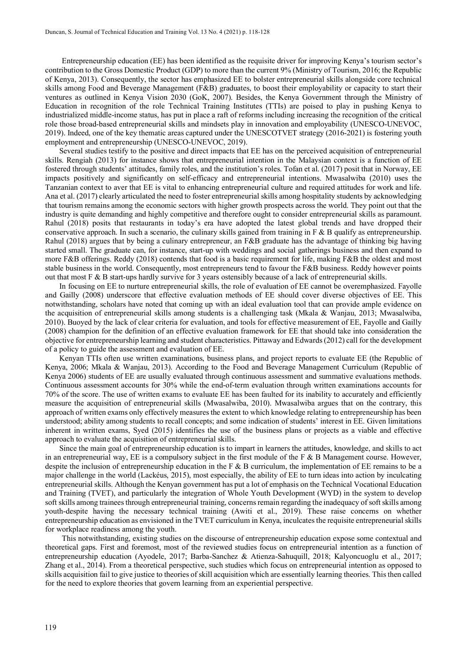Entrepreneurship education (EE) has been identified as the requisite driver for improving Kenya's tourism sector's contribution to the Gross Domestic Product (GDP) to more than the current 9% (Ministry of Tourism, 2016; the Republic of Kenya, 2013). Consequently, the sector has emphasized EE to bolster entrepreneurial skills alongside core technical skills among Food and Beverage Management (F&B) graduates, to boost their employability or capacity to start their ventures as outlined in Kenya Vision 2030 (GoK, 2007). Besides, the Kenya Government through the Ministry of Education in recognition of the role Technical Training Institutes (TTIs) are poised to play in pushing Kenya to industrialized middle-income status, has put in place a raft of reforms including increasing the recognition of the critical role those broad-based entrepreneurial skills and mindsets play in innovation and employability (UNESCO-UNEVOC, 2019). Indeed, one of the key thematic areas captured under the UNESCOTVET strategy (2016-2021) is fostering youth employment and entrepreneurship (UNESCO-UNEVOC, 2019).

Several studies testify to the positive and direct impacts that EE has on the perceived acquisition of entrepreneurial skills. Rengiah (2013) for instance shows that entrepreneurial intention in the Malaysian context is a function of EE fostered through students' attitudes, family roles, and the institution's roles. Tofan et al. (2017) posit that in Norway, EE impacts positively and significantly on self-efficacy and entrepreneurial intentions. Mwasalwiba (2010) uses the Tanzanian context to aver that EE is vital to enhancing entrepreneurial culture and required attitudes for work and life. Ana et al. (2017) clearly articulated the need to foster entrepreneurial skills among hospitality students by acknowledging that tourism remains among the economic sectors with higher growth prospects across the world. They point out that the industry is quite demanding and highly competitive and therefore ought to consider entrepreneurial skills as paramount. Rahul (2018) posits that restaurants in today's era have adopted the latest global trends and have dropped their conservative approach. In such a scenario, the culinary skills gained from training in  $F \& B$  qualify as entrepreneurship. Rahul (2018) argues that by being a culinary entrepreneur, an F&B graduate has the advantage of thinking big having started small. The graduate can, for instance, start-up with weddings and social gatherings business and then expand to more F&B offerings. Reddy (2018) contends that food is a basic requirement for life, making F&B the oldest and most stable business in the world. Consequently, most entrepreneurs tend to favour the F&B business. Reddy however points out that most F & B start-ups hardly survive for 3 years ostensibly because of a lack of entrepreneurial skills.

In focusing on EE to nurture entrepreneurial skills, the role of evaluation of EE cannot be overemphasized. Fayolle and Gailly (2008) underscore that effective evaluation methods of EE should cover diverse objectives of EE. This notwithstanding, scholars have noted that coming up with an ideal evaluation tool that can provide ample evidence on the acquisition of entrepreneurial skills among students is a challenging task (Mkala & Wanjau, 2013; Mwasalwiba, 2010). Buoyed by the lack of clear criteria for evaluation, and tools for effective measurement of EE, Fayolle and Gailly (2008) champion for the definition of an effective evaluation framework for EE that should take into consideration the objective for entrepreneurship learning and student characteristics. Pittaway and Edwards (2012) call for the development of a policy to guide the assessment and evaluation of EE.

Kenyan TTIs often use written examinations, business plans, and project reports to evaluate EE (the Republic of Kenya, 2006; Mkala & Wanjau, 2013). According to the Food and Beverage Management Curriculum (Republic of Kenya 2006) students of EE are usually evaluated through continuous assessment and summative evaluations methods. Continuous assessment accounts for 30% while the end-of-term evaluation through written examinations accounts for 70% of the score. The use of written exams to evaluate EE has been faulted for its inability to accurately and efficiently measure the acquisition of entrepreneurial skills (Mwasalwiba, 2010). Mwasalwiba argues that on the contrary, this approach of written exams only effectively measures the extent to which knowledge relating to entrepreneurship has been understood; ability among students to recall concepts; and some indication of students' interest in EE. Given limitations inherent in written exams, Syed (2015) identifies the use of the business plans or projects as a viable and effective approach to evaluate the acquisition of entrepreneurial skills.

Since the main goal of entrepreneurship education is to impart in learners the attitudes, knowledge, and skills to act in an entrepreneurial way, EE is a compulsory subject in the first module of the F & B Management course. However, despite the inclusion of entrepreneurship education in the F & B curriculum, the implementation of EE remains to be a major challenge in the world (Lackéus, 2015), most especially, the ability of EE to turn ideas into action by inculcating entrepreneurial skills. Although the Kenyan government has put a lot of emphasis on the Technical Vocational Education and Training (TVET), and particularly the integration of Whole Youth Development (WYD) in the system to develop soft skills among trainees through entrepreneurial training, concerns remain regarding the inadequacy of soft skills among youth-despite having the necessary technical training (Awiti et al., 2019). These raise concerns on whether entrepreneurship education as envisioned in the TVET curriculum in Kenya, inculcates the requisite entrepreneurial skills for workplace readiness among the youth.

This notwithstanding, existing studies on the discourse of entrepreneurship education expose some contextual and theoretical gaps. First and foremost, most of the reviewed studies focus on entrepreneurial intention as a function of entrepreneurship education (Ayodele, 2017; Barba-Sanchez & Atienza-Sahuquill, 2018; Kalyoncuoglu et al., 2017; Zhang et al., 2014). From a theoretical perspective, such studies which focus on entrepreneurial intention as opposed to skills acquisition fail to give justice to theories of skill acquisition which are essentially learning theories. This then called for the need to explore theories that govern learning from an experiential perspective.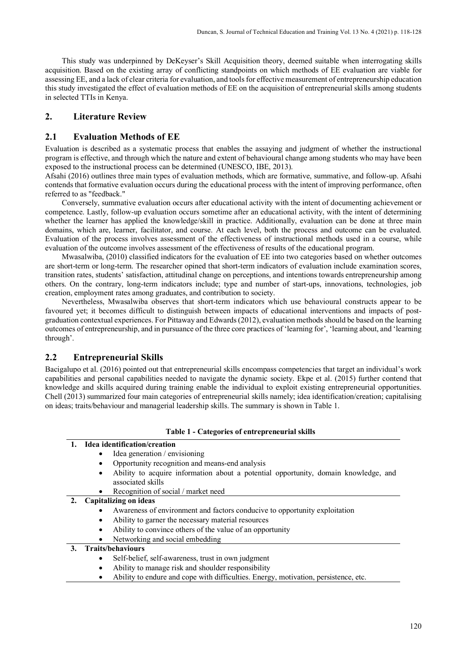This study was underpinned by DeKeyser's Skill Acquisition theory, deemed suitable when interrogating skills acquisition. Based on the existing array of conflicting standpoints on which methods of EE evaluation are viable for assessing EE, and a lack of clear criteria for evaluation, and tools for effective measurement of entrepreneurship education this study investigated the effect of evaluation methods of EE on the acquisition of entrepreneurial skills among students in selected TTIs in Kenya.

# **2. Literature Review**

# **2.1 Evaluation Methods of EE**

Evaluation is described as a systematic process that enables the assaying and judgment of whether the instructional program is effective, and through which the nature and extent of behavioural change among students who may have been exposed to the instructional process can be determined (UNESCO, IBE, 2013).

Afsahi (2016) outlines three main types of evaluation methods, which are formative, summative, and follow-up. Afsahi contends that formative evaluation occurs during the educational process with the intent of improving performance, often referred to as "feedback."

Conversely, summative evaluation occurs after educational activity with the intent of documenting achievement or competence. Lastly, follow-up evaluation occurs sometime after an educational activity, with the intent of determining whether the learner has applied the knowledge/skill in practice. Additionally, evaluation can be done at three main domains, which are, learner, facilitator, and course. At each level, both the process and outcome can be evaluated. Evaluation of the process involves assessment of the effectiveness of instructional methods used in a course, while evaluation of the outcome involves assessment of the effectiveness of results of the educational program.

Mwasalwiba, (2010) classified indicators for the evaluation of EE into two categories based on whether outcomes are short-term or long-term. The researcher opined that short-term indicators of evaluation include examination scores, transition rates, students' satisfaction, attitudinal change on perceptions, and intentions towards entrepreneurship among others. On the contrary, long-term indicators include; type and number of start-ups, innovations, technologies, job creation, employment rates among graduates, and contribution to society.

Nevertheless, Mwasalwiba observes that short-term indicators which use behavioural constructs appear to be favoured yet; it becomes difficult to distinguish between impacts of educational interventions and impacts of postgraduation contextual experiences. For Pittaway and Edwards (2012), evaluation methods should be based on the learning outcomes of entrepreneurship, and in pursuance of the three core practices of 'learning for', 'learning about, and 'learning through'.

# **2.2 Entrepreneurial Skills**

Bacigalupo et al. (2016) pointed out that entrepreneurial skills encompass competencies that target an individual's work capabilities and personal capabilities needed to navigate the dynamic society. Ekpe et al. (2015) further contend that knowledge and skills acquired during training enable the individual to exploit existing entrepreneurial opportunities. Chell (2013) summarized four main categories of entrepreneurial skills namely; idea identification/creation; capitalising on ideas; traits/behaviour and managerial leadership skills. The summary is shown in Table 1.

#### **Table 1 - Categories of entrepreneurial skills**

| 1. Idea identification/creation |  |                               |  |  |  |
|---------------------------------|--|-------------------------------|--|--|--|
|                                 |  | Idea generation / envisioning |  |  |  |
|                                 |  |                               |  |  |  |

- Opportunity recognition and means-end analysis
- Ability to acquire information about a potential opportunity, domain knowledge, and associated skills
- Recognition of social / market need

# **2. Capitalizing on ideas**

- Awareness of environment and factors conducive to opportunity exploitation
- Ability to garner the necessary material resources
- Ability to convince others of the value of an opportunity
- Networking and social embedding

# **3. Traits/behaviours**

- Self-belief, self-awareness, trust in own judgment
- Ability to manage risk and shoulder responsibility
- Ability to endure and cope with difficulties. Energy, motivation, persistence, etc.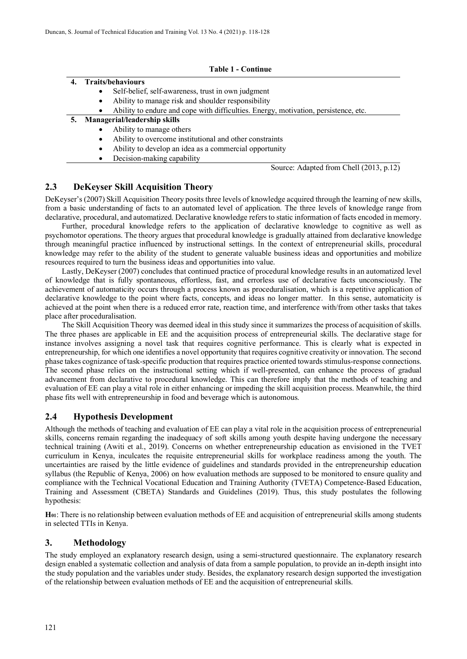| <b>Table 1 - Continue</b> |                   |                                                                                     |  |  |  |  |
|---------------------------|-------------------|-------------------------------------------------------------------------------------|--|--|--|--|
|                           | Traits/behaviours |                                                                                     |  |  |  |  |
|                           | $\bullet$         | Self-belief, self-awareness, trust in own judgment                                  |  |  |  |  |
|                           | $\bullet$         | Ability to manage risk and shoulder responsibility                                  |  |  |  |  |
|                           | ٠                 | Ability to endure and cope with difficulties. Energy, motivation, persistence, etc. |  |  |  |  |
| 5.                        |                   | Managerial/leadership skills                                                        |  |  |  |  |
|                           | $\bullet$         | Ability to manage others                                                            |  |  |  |  |
|                           | ٠                 | Ability to overcome institutional and other constraints                             |  |  |  |  |
|                           | $\bullet$         | Ability to develop an idea as a commercial opportunity                              |  |  |  |  |
|                           | ٠                 | Decision-making capability                                                          |  |  |  |  |

Source: Adapted from Chell (2013, p.12)

# **2.3 DeKeyser Skill Acquisition Theory**

DeKeyser's (2007) Skill Acquisition Theory posits three levels of knowledge acquired through the learning of new skills, from a basic understanding of facts to an automated level of application. The three levels of knowledge range from declarative, procedural, and automatized. Declarative knowledge refers to static information of facts encoded in memory.

Further, procedural knowledge refers to the application of declarative knowledge to cognitive as well as psychomotor operations. The theory argues that procedural knowledge is gradually attained from declarative knowledge through meaningful practice influenced by instructional settings. In the context of entrepreneurial skills, procedural knowledge may refer to the ability of the student to generate valuable business ideas and opportunities and mobilize resources required to turn the business ideas and opportunities into value.

Lastly, DeKeyser (2007) concludes that continued practice of procedural knowledge results in an automatized level of knowledge that is fully spontaneous, effortless, fast, and errorless use of declarative facts unconsciously. The achievement of automaticity occurs through a process known as proceduralisation, which is a repetitive application of declarative knowledge to the point where facts, concepts, and ideas no longer matter. In this sense, automaticity is achieved at the point when there is a reduced error rate, reaction time, and interference with/from other tasks that takes place after proceduralisation.

The Skill Acquisition Theory was deemed ideal in this study since it summarizes the process of acquisition of skills. The three phases are applicable in EE and the acquisition process of entrepreneurial skills. The declarative stage for instance involves assigning a novel task that requires cognitive performance. This is clearly what is expected in entrepreneurship, for which one identifies a novel opportunity that requires cognitive creativity or innovation. The second phase takes cognizance of task-specific production that requires practice oriented towards stimulus-response connections. The second phase relies on the instructional setting which if well-presented, can enhance the process of gradual advancement from declarative to procedural knowledge. This can therefore imply that the methods of teaching and evaluation of EE can play a vital role in either enhancing or impeding the skill acquisition process. Meanwhile, the third phase fits well with entrepreneurship in food and beverage which is autonomous.

# **2.4 Hypothesis Development**

Although the methods of teaching and evaluation of EE can play a vital role in the acquisition process of entrepreneurial skills, concerns remain regarding the inadequacy of soft skills among youth despite having undergone the necessary technical training (Awiti et al., 2019). Concerns on whether entrepreneurship education as envisioned in the TVET curriculum in Kenya, inculcates the requisite entrepreneurial skills for workplace readiness among the youth. The uncertainties are raised by the little evidence of guidelines and standards provided in the entrepreneurship education syllabus (the Republic of Kenya, 2006) on how evaluation methods are supposed to be monitored to ensure quality and compliance with the Technical Vocational Education and Training Authority (TVETA) Competence-Based Education, Training and Assessment (CBETA) Standards and Guidelines (2019). Thus, this study postulates the following hypothesis:

**H01**: There is no relationship between evaluation methods of EE and acquisition of entrepreneurial skills among students in selected TTIs in Kenya.

# **3. Methodology**

The study employed an explanatory research design, using a semi-structured questionnaire. The explanatory research design enabled a systematic collection and analysis of data from a sample population, to provide an in-depth insight into the study population and the variables under study. Besides, the explanatory research design supported the investigation of the relationship between evaluation methods of EE and the acquisition of entrepreneurial skills.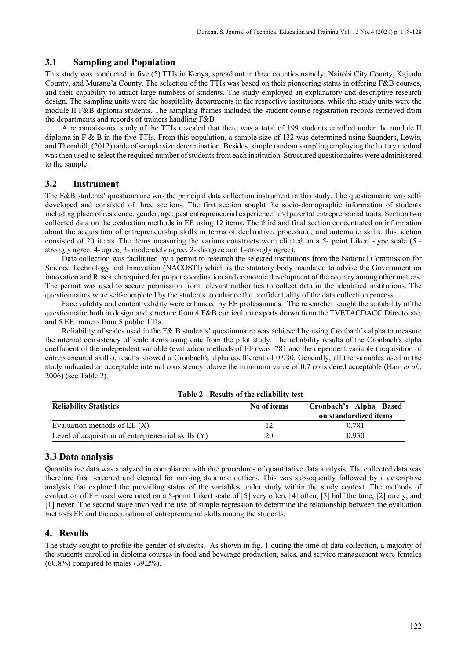# **3.1 Sampling and Population**

This study was conducted in five (5) TTIs in Kenya, spread out in three counties namely; Nairobi City County, Kajiado County, and Murang'a County. The selection of the TTIs was based on their pioneering status in offering F&B courses, and their capability to attract large numbers of students. The study employed an explanatory and descriptive research design. The sampling units were the hospitality departments in the respective institutions, while the study units were the module II F&B diploma students. The sampling frames included the student course registration records retrieved from the departments and records of trainers handling F&B.

A reconnaissance study of the TTIs revealed that there was a total of 199 students enrolled under the module II diploma in F & B in the five TTIs. From this population, a sample size of 132 was determined using Saunders, Lewis, and Thornhill, (2012) table of sample size determination. Besides, simple random sampling employing the lottery method was then used to select the required number of students from each institution. Structured questionnaires were administered to the sample.

# **3.2 Instrument**

The F&B students' questionnaire was the principal data collection instrument in this study. The questionnaire was selfdeveloped and consisted of three sections. The first section sought the socio-demographic information of students including place of residence, gender, age, past entrepreneurial experience, and parental entrepreneurial traits. Section two collected data on the evaluation methods in EE using 12 items. The third and final section concentrated on information about the acquisition of entrepreneurship skills in terms of declarative, procedural, and automatic skills. this section consisted of 20 items. The items measuring the various constructs were elicited on a 5- point Likert -type scale (5 strongly agree, 4- agree, 3- moderately agree, 2- disagree and 1-strongly agree).

Data collection was facilitated by a permit to research the selected institutions from the National Commission for Science Technology and Innovation (NACOSTI) which is the statutory body mandated to advise the Government on innovation and Research required for proper coordination and economic development of the country among other matters. The permit was used to secure permission from relevant authorities to collect data in the identified institutions. The questionnaires were self-completed by the students to enhance the confidentiality of the data collection process.

Face validity and content validity were enhanced by EE professionals. The researcher sought the suitability of the questionnaire both in design and structure from 4 F&B curriculum experts drawn from the TVETACDACC Directorate, and 5 EE trainers from 5 public TTIs.

Reliability of scales used in the F& B students' questionnaire was achieved by using Cronbach's alpha to measure the internal consistency of scale items using data from the pilot study. The reliability results of the Cronbach's alpha coefficient of the independent variable (evaluation methods of EE) was .781 and the dependent variable (acquisition of entrepreneurial skills), results showed a Cronbach's alpha coefficient of 0.930. Generally, all the variables used in the study indicated an acceptable internal consistency, above the minimum value of 0.7 considered acceptable (Hair *et al*., 2006) (see Table 2).

| <b>Reliability Statistics</b>                        | No of items | Cronbach's Alpha Based |
|------------------------------------------------------|-------------|------------------------|
|                                                      |             | on standardized items  |
| Evaluation methods of $EE(X)$                        |             | 0.781                  |
| Level of acquisition of entrepreneurial skills $(Y)$ | 20          | 0.930                  |

**Table 2 - Results of the reliability test**

# **3.3 Data analysis**

Quantitative data was analyzed in compliance with due procedures of quantitative data analysis. The collected data was therefore first screened and cleaned for missing data and outliers. This was subsequently followed by a descriptive analysis that explored the prevailing status of the variables under study within the study context. The methods of evaluation of EE used were rated on a 5-point Likert scale of [5] very often, [4] often, [3] half the time, [2] rarely, and [1] never. The second stage involved the use of simple regression to determine the relationship between the evaluation methods EE and the acquisition of entrepreneurial skills among the students.

### **4. Results**

The study sought to profile the gender of students. As shown in fig. 1 during the time of data collection, a majority of the students enrolled in diploma courses in food and beverage production, sales, and service management were females (60.8%) compared to males (39.2%).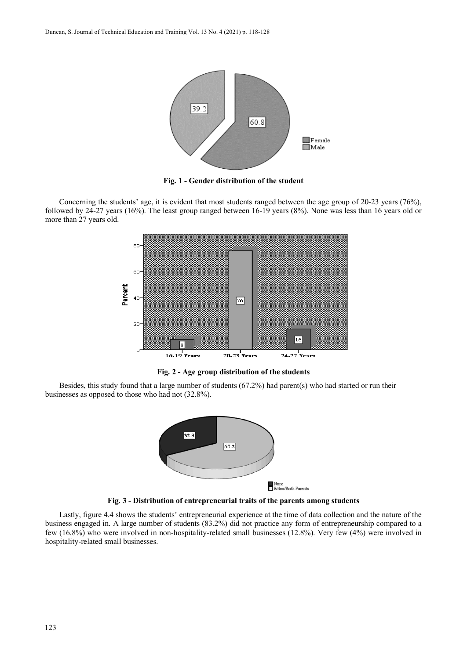

**Fig. 1 - Gender distribution of the student**

Concerning the students' age, it is evident that most students ranged between the age group of 20-23 years (76%), followed by 24-27 years (16%). The least group ranged between 16-19 years (8%). None was less than 16 years old or more than 27 years old.



**Fig. 2 - Age group distribution of the students**

Besides, this study found that a large number of students (67.2%) had parent(s) who had started or run their businesses as opposed to those who had not (32.8%).



**Fig. 3 - Distribution of entrepreneurial traits of the parents among students**

Lastly, figure 4.4 shows the students' entrepreneurial experience at the time of data collection and the nature of the business engaged in. A large number of students (83.2%) did not practice any form of entrepreneurship compared to a few (16.8%) who were involved in non-hospitality-related small businesses (12.8%). Very few (4%) were involved in hospitality-related small businesses.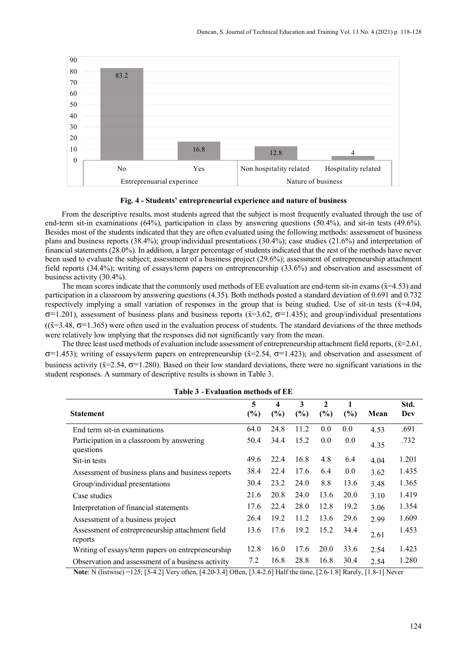

**Fig. 4 - Students' entrepreneurial experience and nature of business**

From the descriptive results, most students agreed that the subject is most frequently evaluated through the use of end-term sit-in examinations (64%), participation in class by answering questions (50.4%), and sit-in tests (49.6%). Besides most of the students indicated that they are often evaluated using the following methods: assessment of business plans and business reports (38.4%); group/individual presentations (30.4%); case studies (21.6%) and interpretation of financial statements (28.0%). In addition, a larger percentage of students indicated that the rest of the methods have never been used to evaluate the subject; assessment of a business project (29.6%); assessment of entrepreneurship attachment field reports (34.4%); writing of essays/term papers on entrepreneurship (33.6%) and observation and assessment of business activity (30.4%).

The mean scores indicate that the commonly used methods of EE evaluation are end-term sit-in exams ( $\bar{x}$ =4.53) and participation in a classroom by answering questions (4.35). Both methods posted a standard deviation of 0.691 and 0.732 respectively implying a small variation of responses in the group that is being studied. Use of sit-in tests  $(\bar{x}=4.04,$  $\sigma$ =1.201), assessment of business plans and business reports ( $\bar{x}$ =3.62,  $\sigma$ =1.435); and group/individual presentations  $((\bar{x}=3.48, \sigma=1.365)$  were often used in the evaluation process of students. The standard deviations of the three methods were relatively low implying that the responses did not significantly vary from the mean.

The three least used methods of evaluation include assessment of entrepreneurship attachment field reports,  $(\bar{x}=2.61,$ σ=1.453); writing of essays/term papers on entrepreneurship ( $\bar{x}$ =2.54, σ=1.423); and observation and assessment of business activity ( $\bar{x}$ =2.54,  $\sigma$ =1.280). Based on their low standard deviations, there were no significant variations in the student responses. A summary of descriptive results is shown in Table 3.

| <b>Statement</b>                                           | 5<br>$(\%)$ | $\boldsymbol{4}$<br>(%) | 3<br>$(\%)$ | $\mathbf{2}$<br>(%) | (%)  | Mean | Std.<br>Dev |
|------------------------------------------------------------|-------------|-------------------------|-------------|---------------------|------|------|-------------|
| End term sit-in examinations                               | 64.0        | 24.8                    | 11.2        | 0.0                 | 0.0  | 4.53 | .691        |
| Participation in a classroom by answering<br>questions     | 50.4        | 34.4                    | 15.2        | 0.0                 | 0.0  | 4.35 | .732        |
| Sit-in tests                                               | 49.6        | 22.4                    | 16.8        | 4.8                 | 6.4  | 4.04 | 1.201       |
| Assessment of business plans and business reports          | 38.4        | 22.4                    | 17.6        | 6.4                 | 0.0  | 3.62 | 1.435       |
| Group/individual presentations                             | 30.4        | 23.2                    | 24.0        | 8.8                 | 13.6 | 3.48 | 1.365       |
| Case studies                                               | 21.6        | 20.8                    | 24.0        | 13.6                | 20.0 | 3.10 | 1.419       |
| Interpretation of financial statements                     | 17.6        | 22.4                    | 28.0        | 12.8                | 19.2 | 3.06 | 1.354       |
| Assessment of a business project                           | 26.4        | 19.2                    | 11.2        | 13.6                | 29.6 | 2.99 | 1.609       |
| Assessment of entrepreneurship attachment field<br>reports | 13.6        | 17.6                    | 19.2        | 15.2                | 34.4 | 2.61 | 1.453       |
| Writing of essays/term papers on entrepreneurship          | 12.8        | 16.0                    | 17.6        | 20.0                | 33.6 | 2.54 | 1.423       |
| Observation and assessment of a business activity          | 7.2         | 16.8                    | 28.8        | 16.8                | 30.4 | 2.54 | 1.280       |

**Table 3** - **Evaluation methods of EE**

**Note**: N (listwise) =125; [5-4.2] Very often, [4.20-3.4] Often, [3.4-2.6] Half the time, [2.6-1.8] Rarely, [1.8-1] Never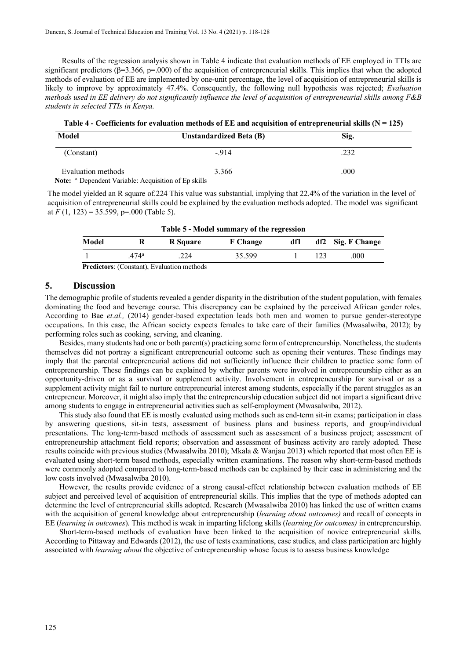Results of the regression analysis shown in Table 4 indicate that evaluation methods of EE employed in TTIs are significant predictors ( $\beta$ =3.366, p=.000) of the acquisition of entrepreneurial skills. This implies that when the adopted methods of evaluation of EE are implemented by one-unit percentage, the level of acquisition of entrepreneurial skills is likely to improve by approximately 47.4%. Consequently, the following null hypothesis was rejected; *Evaluation methods used in EE delivery do not significantly influence the level of acquisition of entrepreneurial skills among F&B students in selected TTIs in Kenya.*

**Table 4 - Coefficients for evaluation methods of EE and acquisition of entrepreneurial skills (N = 125)**

| Model                                                                  | <b>Unstandardized Beta (B)</b> | Sig. |  |  |  |
|------------------------------------------------------------------------|--------------------------------|------|--|--|--|
| (Constant)                                                             | $-914$                         | .232 |  |  |  |
| Evaluation methods                                                     | 3.366                          | .000 |  |  |  |
| <b>Note:</b> <sup>a</sup> Dependent Variable: Acquisition of Ep skills |                                |      |  |  |  |

The model yielded an R square of.224 This value was substantial, implying that 22.4% of the variation in the level of acquisition of entrepreneurial skills could be explained by the evaluation methods adopted. The model was significant at  $F(1, 123) = 35.599$ , p=.000 (Table 5).

| Table 5 - Model summary of the regression |                                                  |                 |                 |     |  |                   |
|-------------------------------------------|--------------------------------------------------|-----------------|-----------------|-----|--|-------------------|
| Model                                     |                                                  | <b>R</b> Square | <b>F</b> Change | df1 |  | df2 Sig. F Change |
|                                           | .474ª                                            | 224             | 35.599          |     |  | .000              |
| - - -                                     | $\sim$ $\sim$ $\sim$ $\sim$ $\sim$ $\sim$ $\sim$ |                 |                 |     |  |                   |

 **Predictors**: (Constant), Evaluation methods

# **5. Discussion**

The demographic profile of students revealed a gender disparity in the distribution of the student population, with females dominating the food and beverage course. This discrepancy can be explained by the perceived African gender roles. According to Bae *et.al.,* (2014) gender-based expectation leads both men and women to pursue gender-stereotype occupations. In this case, the African society expects females to take care of their families (Mwasalwiba, 2012); by performing roles such as cooking, serving, and cleaning.

Besides, many students had one or both parent(s) practicing some form of entrepreneurship. Nonetheless, the students themselves did not portray a significant entrepreneurial outcome such as opening their ventures. These findings may imply that the parental entrepreneurial actions did not sufficiently influence their children to practice some form of entrepreneurship. These findings can be explained by whether parents were involved in entrepreneurship either as an opportunity-driven or as a survival or supplement activity. Involvement in entrepreneurship for survival or as a supplement activity might fail to nurture entrepreneurial interest among students, especially if the parent struggles as an entrepreneur. Moreover, it might also imply that the entrepreneurship education subject did not impart a significant drive among students to engage in entrepreneurial activities such as self-employment (Mwasalwiba, 2012).

This study also found that EE is mostly evaluated using methods such as end-term sit-in exams; participation in class by answering questions, sit-in tests, assessment of business plans and business reports, and group/individual presentations. The long-term-based methods of assessment such as assessment of a business project; assessment of entrepreneurship attachment field reports; observation and assessment of business activity are rarely adopted. These results coincide with previous studies (Mwasalwiba 2010); Mkala & Wanjau 2013) which reported that most often EE is evaluated using short-term based methods, especially written examinations. The reason why short-term-based methods were commonly adopted compared to long-term-based methods can be explained by their ease in administering and the low costs involved (Mwasalwiba 2010).

However, the results provide evidence of a strong causal-effect relationship between evaluation methods of EE subject and perceived level of acquisition of entrepreneurial skills. This implies that the type of methods adopted can determine the level of entrepreneurial skills adopted. Research (Mwasalwiba 2010) has linked the use of written exams with the acquisition of general knowledge about entrepreneurship (*learning about outcomes)* and recall of concepts in EE (*learning in outcomes*). This method is weak in imparting lifelong skills (*learning for outcomes)* in entrepreneurship.

Short-term-based methods of evaluation have been linked to the acquisition of novice entrepreneurial skills. According to Pittaway and Edwards (2012), the use of tests examinations, case studies, and class participation are highly associated with *learning about* the objective of entrepreneurship whose focus is to assess business knowledge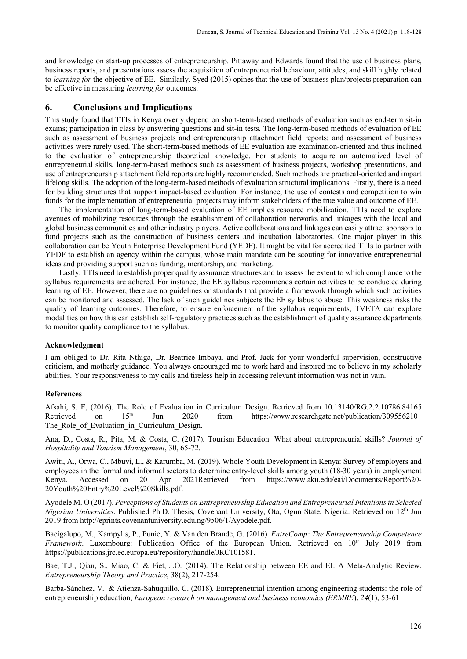and knowledge on start-up processes of entrepreneurship. Pittaway and Edwards found that the use of business plans, business reports, and presentations assess the acquisition of entrepreneurial behaviour, attitudes, and skill highly related to *learning for* the objective of EE. Similarly, Syed (2015) opines that the use of business plan/projects preparation can be effective in measuring *learning for* outcomes.

### **6. Conclusions and Implications**

This study found that TTIs in Kenya overly depend on short-term-based methods of evaluation such as end-term sit-in exams; participation in class by answering questions and sit-in tests. The long-term-based methods of evaluation of EE such as assessment of business projects and entrepreneurship attachment field reports; and assessment of business activities were rarely used. The short-term-based methods of EE evaluation are examination-oriented and thus inclined to the evaluation of entrepreneurship theoretical knowledge. For students to acquire an automatized level of entrepreneurial skills, long-term-based methods such as assessment of business projects, workshop presentations, and use of entrepreneurship attachment field reports are highly recommended. Such methods are practical-oriented and impart lifelong skills. The adoption of the long-term-based methods of evaluation structural implications. Firstly, there is a need for building structures that support impact-based evaluation. For instance, the use of contests and competition to win funds for the implementation of entrepreneurial projects may inform stakeholders of the true value and outcome of EE.

The implementation of long-term-based evaluation of EE implies resource mobilization. TTIs need to explore avenues of mobilizing resources through the establishment of collaboration networks and linkages with the local and global business communities and other industry players. Active collaborations and linkages can easily attract sponsors to fund projects such as the construction of business centers and incubation laboratories. One major player in this collaboration can be Youth Enterprise Development Fund (YEDF). It might be vital for accredited TTIs to partner with YEDF to establish an agency within the campus, whose main mandate can be scouting for innovative entrepreneurial ideas and providing support such as funding, mentorship, and marketing.

Lastly, TTIs need to establish proper quality assurance structures and to assess the extent to which compliance to the syllabus requirements are adhered. For instance, the EE syllabus recommends certain activities to be conducted during learning of EE. However, there are no guidelines or standards that provide a framework through which such activities can be monitored and assessed. The lack of such guidelines subjects the EE syllabus to abuse. This weakness risks the quality of learning outcomes. Therefore, to ensure enforcement of the syllabus requirements, TVETA can explore modalities on how this can establish self-regulatory practices such as the establishment of quality assurance departments to monitor quality compliance to the syllabus.

#### **Acknowledgment**

I am obliged to Dr. Rita Nthiga, Dr. Beatrice Imbaya, and Prof. Jack for your wonderful supervision, constructive criticism, and motherly guidance. You always encouraged me to work hard and inspired me to believe in my scholarly abilities. Your responsiveness to my calls and tireless help in accessing relevant information was not in vain.

### **References**

Afsahi, S. E, (2016). The Role of Evaluation in Curriculum Design. Retrieved from 10.13140/RG.2.2.10786.84165<br>Retrieved on 15<sup>th</sup> Jun 2020 from https://www.researchgate.net/publication/309556210 Retrieved on  $15<sup>th</sup>$  Jun 2020 from https://www.researchgate.net/publication/309556210 The Role of Evaluation in Curriculum Design.

Ana, D., Costa, R., Pita, M. & Costa, C. (2017). Tourism Education: What about entrepreneurial skills? *Journal of Hospitality and Tourism Management*, 30, 65-72.

Awiti, A., Orwa, C., Mbuvi, L., & Karumba, M. (2019). Whole Youth Development in Kenya: Survey of employers and employees in the formal and informal sectors to determine entry-level skills among youth (18-30 years) in employment Kenya. Accessed on 20 Apr 2021Retrieved from https://www.aku.edu/eai/Documents/Report%20- 20Youth%20Entry%20Level%20Skills.pdf.

Ayodele M. O (2017). *Perceptions of Students on Entrepreneurship Education and Entrepreneurial Intentions in Selected Nigerian Universities*. Published Ph.D. Thesis, Covenant University, Ota, Ogun State, Nigeria. Retrieved on 12th Jun 2019 from http://eprints.covenantuniversity.edu.ng/9506/1/Ayodele.pdf.

Bacigalupo, M., Kampylis, P., Punie, Y. & Van den Brande, G. (2016). *EntreComp: The Entrepreneurship Competence*  Framework. Luxembourg: Publication Office of the European Union. Retrieved on 10<sup>th</sup> July 2019 from https://publications.jrc.ec.europa.eu/repository/handle/JRC101581.

Bae, T.J., Qian, S., Miao, C. & Fiet, J.O. (2014). The Relationship between EE and EI: A Meta-Analytic Review. *Entrepreneurship Theory and Practice*, 38(2), 217-254.

Barba-Sánchez, V. & Atienza-Sahuquillo, C. (2018). Entrepreneurial intention among engineering students: the role of entrepreneurship education, *European research on management and business economics (ERMBE*), *24*(1), 53-61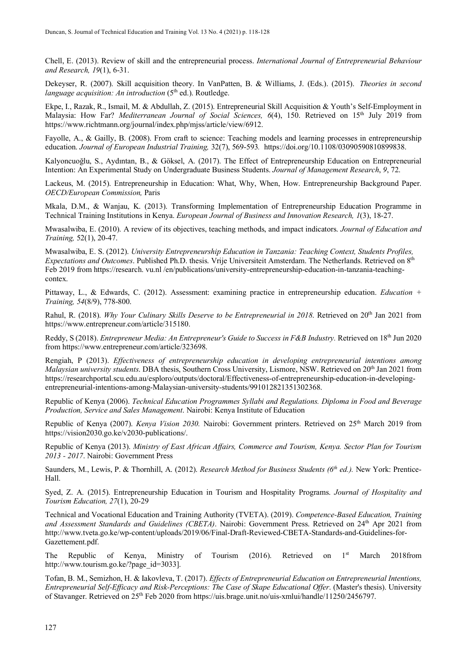Chell, E. (2013). Review of skill and the entrepreneurial process. *International Journal of Entrepreneurial Behaviour and Research, 19*(1), 6-31.

Dekeyser, R. (2007). Skill acquisition theory. In VanPatten, B. & Williams, J. (Eds.). (2015). *Theories in second language acquisition: An introduction* (5<sup>th</sup> ed.). Routledge.

Ekpe, I., Razak, R., Ismail, M. & Abdullah, Z. (2015). Entrepreneurial Skill Acquisition & Youth's Self-Employment in Malaysia: How Far? *Mediterranean Journal of Social Sciences, 6*(4), 150. Retrieved on 15<sup>th</sup> July 2019 from https://www.richtmann.org/journal/index.php/mjss/article/view/6912.

Fayolle, A., & Gailly, B. (2008). From craft to science: Teaching models and learning processes in entrepreneurship education. *Journal of European Industrial Training,* 32(7), 569-593*.* https://doi.org/10.1108/03090590810899838.

Kalyoncuoğlu, S., Aydıntan, B., & Göksel, A. (2017). The Effect of Entrepreneurship Education on Entrepreneurial Intention: An Experimental Study on Undergraduate Business Students. *Journal of Management Research*, *9*, 72.

Lackeus, M. (2015). Entrepreneurship in Education: What, Why, When, How. Entrepreneurship Background Paper. *OECD/European Commission,* Paris

Mkala, D.M., & Wanjau, K. (2013). Transforming Implementation of Entrepreneurship Education Programme in Technical Training Institutions in Kenya. *European Journal of Business and Innovation Research, 1*(3), 18-27.

Mwasalwiba, E. (2010). A review of its objectives, teaching methods, and impact indicators. *Journal of Education and Training,* 52(1), 20-47.

Mwasalwiba, E. S. (2012). *University Entrepreneurship Education in Tanzania: Teaching Context, Students Profiles, Expectations and Outcomes*. Published Ph.D. thesis. Vrije Universiteit Amsterdam. The Netherlands. Retrieved on 8th Feb 2019 from https://research. vu.nl /en/publications/university-entrepreneurship-education-in-tanzania-teachingcontex.

Pittaway, L., & Edwards, C. (2012). Assessment: examining practice in entrepreneurship education. *Education + Training, 54*(8/9), 778-800.

Rahul, R. (2018). *Why Your Culinary Skills Deserve to be Entrepreneurial in 2018*. Retrieved on 20<sup>th</sup> Jan 2021 from https://www.entrepreneur.com/article/315180.

Reddy, S (2018). *Entrepreneur Media: An Entrepreneur's Guide to Success in F&B Industry.* Retrieved on 18th Jun 2020 from https://www.entrepreneur.com/article/323698.

Rengiah, P (2013). *Effectiveness of entrepreneurship education in developing entrepreneurial intentions among Malaysian university students*. DBA thesis, Southern Cross University, Lismore, NSW. Retrieved on 20th Jan 2021 from https://researchportal.scu.edu.au/esploro/outputs/doctoral/Effectiveness-of-entrepreneurship-education-in-developingentrepreneurial-intentions-among-Malaysian-university-students/991012821351302368.

Republic of Kenya (2006). *Technical Education Programmes Syllabi and Regulations. Diploma in Food and Beverage Production, Service and Sales Management*. Nairobi: Kenya Institute of Education

Republic of Kenya (2007). *Kenya Vision 2030*. Nairobi: Government printers. Retrieved on 25<sup>th</sup> March 2019 from https://vision2030.go.ke/v2030-publications/.

Republic of Kenya (2013). *Ministry of East African Affairs, Commerce and Tourism, Kenya. Sector Plan for Tourism 2013 - 2017*. Nairobi: Government Press

Saunders, M., Lewis, P. & Thornhill, A. (2012). *Research Method for Business Students (6th ed.).* New York: Prentice-Hall.

Syed, Z. A. (2015). Entrepreneurship Education in Tourism and Hospitality Programs. *Journal of Hospitality and Tourism Education, 27*(1), 20-29

Technical and Vocational Education and Training Authority (TVETA). (2019). *Competence-Based Education, Training*  and Assessment Standards and Guidelines (CBETA). Nairobi: Government Press. Retrieved on 24<sup>th</sup> Apr 2021 from http://www.tveta.go.ke/wp-content/uploads/2019/06/Final-Draft-Reviewed-CBETA-Standards-and-Guidelines-for-Gazettement.pdf.

The Republic of Kenya, Ministry of Tourism (2016). Retrieved on  $1<sup>st</sup>$  March 2018from http://www.tourism.go.ke/?page\_id=3033].

Tofan, B. M., Semizhon, H. & Iakovleva, T. (2017). *Effects of Entrepreneurial Education on Entrepreneurial Intentions, Entrepreneurial Self-Efficacy and Risk-Perceptions: The Case of Skape Educational Offer*. (Master's thesis). University of Stavanger. Retrieved on 25th Feb 2020 from https://uis.brage.unit.no/uis-xmlui/handle/11250/2456797.